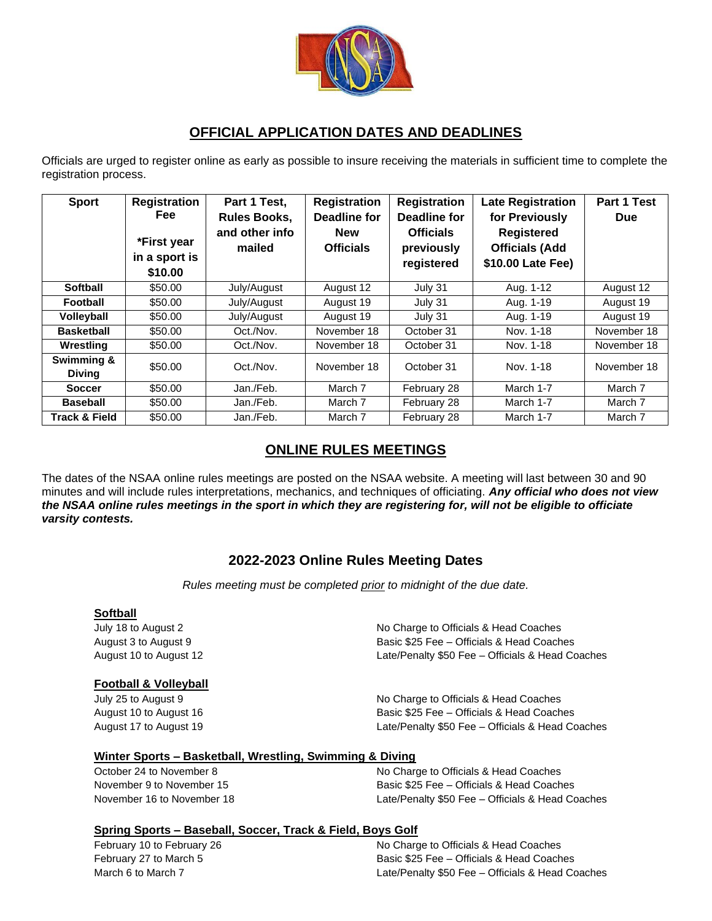

### **OFFICIAL APPLICATION DATES AND DEADLINES**

Officials are urged to register online as early as possible to insure receiving the materials in sufficient time to complete the registration process.

| <b>Sport</b>                | <b>Registration</b><br><b>Fee</b><br>*First year<br>in a sport is<br>\$10.00 | Part 1 Test,<br><b>Rules Books,</b><br>and other info<br>mailed | <b>Registration</b><br>Deadline for<br><b>New</b><br><b>Officials</b> | <b>Registration</b><br>Deadline for<br><b>Officials</b><br>previously<br>registered | <b>Late Registration</b><br>for Previously<br><b>Registered</b><br><b>Officials (Add</b><br>\$10.00 Late Fee) | Part 1 Test<br><b>Due</b> |
|-----------------------------|------------------------------------------------------------------------------|-----------------------------------------------------------------|-----------------------------------------------------------------------|-------------------------------------------------------------------------------------|---------------------------------------------------------------------------------------------------------------|---------------------------|
| <b>Softball</b>             | \$50.00                                                                      | July/August                                                     | August 12                                                             | July 31                                                                             | Aug. 1-12                                                                                                     | August 12                 |
| Football                    | \$50.00                                                                      | July/August                                                     | August 19                                                             | July 31                                                                             | Aug. 1-19                                                                                                     | August 19                 |
| <b>Volleyball</b>           | \$50.00                                                                      | July/August                                                     | August 19                                                             | July 31                                                                             | Aug. 1-19                                                                                                     | August 19                 |
| <b>Basketball</b>           | \$50.00                                                                      | Oct./Nov.                                                       | November 18                                                           | October 31                                                                          | Nov. 1-18                                                                                                     | November 18               |
| Wrestling                   | \$50.00                                                                      | Oct./Nov.                                                       | November 18                                                           | October 31                                                                          | Nov. 1-18                                                                                                     | November 18               |
| Swimming &<br><b>Diving</b> | \$50.00                                                                      | Oct./Nov.                                                       | November 18                                                           | October 31                                                                          | Nov. 1-18                                                                                                     | November 18               |
| <b>Soccer</b>               | \$50.00                                                                      | Jan./Feb.                                                       | March 7                                                               | February 28                                                                         | March 1-7                                                                                                     | March 7                   |
| <b>Baseball</b>             | \$50.00                                                                      | Jan./Feb.                                                       | March 7                                                               | February 28                                                                         | March 1-7                                                                                                     | March 7                   |
| <b>Track &amp; Field</b>    | \$50.00                                                                      | Jan./Feb.                                                       | March 7                                                               | February 28                                                                         | March 1-7                                                                                                     | March 7                   |

# **ONLINE RULES MEETINGS**

The dates of the NSAA online rules meetings are posted on the NSAA website. A meeting will last between 30 and 90 minutes and will include rules interpretations, mechanics, and techniques of officiating. *Any official who does not view the NSAA online rules meetings in the sport in which they are registering for, will not be eligible to officiate varsity contests.*

## **2022-2023 Online Rules Meeting Dates**

*Rules meeting must be completed prior to midnight of the due date.*

#### **Softball**

#### **Football & Volleyball**

July 18 to August 2 No Charge to Officials & Head Coaches August 3 to August 9 Basic \$25 Fee – Officials & Head Coaches August 10 to August 12 Late/Penalty \$50 Fee – Officials & Head Coaches

July 25 to August 9 No Charge to Officials & Head Coaches August 10 to August 16 Basic \$25 Fee – Officials & Head Coaches August 17 to August 19 Late/Penalty \$50 Fee – Officials & Head Coaches

#### **Winter Sports – Basketball, Wrestling, Swimming & Diving**

October 24 to November 8 No Charge to Officials & Head Coaches November 9 to November 15 Basic \$25 Fee – Officials & Head Coaches November 16 to November 18 Late/Penalty \$50 Fee – Officials & Head Coaches

#### **Spring Sports – Baseball, Soccer, Track & Field, Boys Golf**

February 10 to February 26 **No Charge to Officials & Head Coaches** No Charge to Officials & Head Coaches February 27 to March 5 Basic \$25 Fee – Officials & Head Coaches March 6 to March 7 Late/Penalty \$50 Fee – Officials & Head Coaches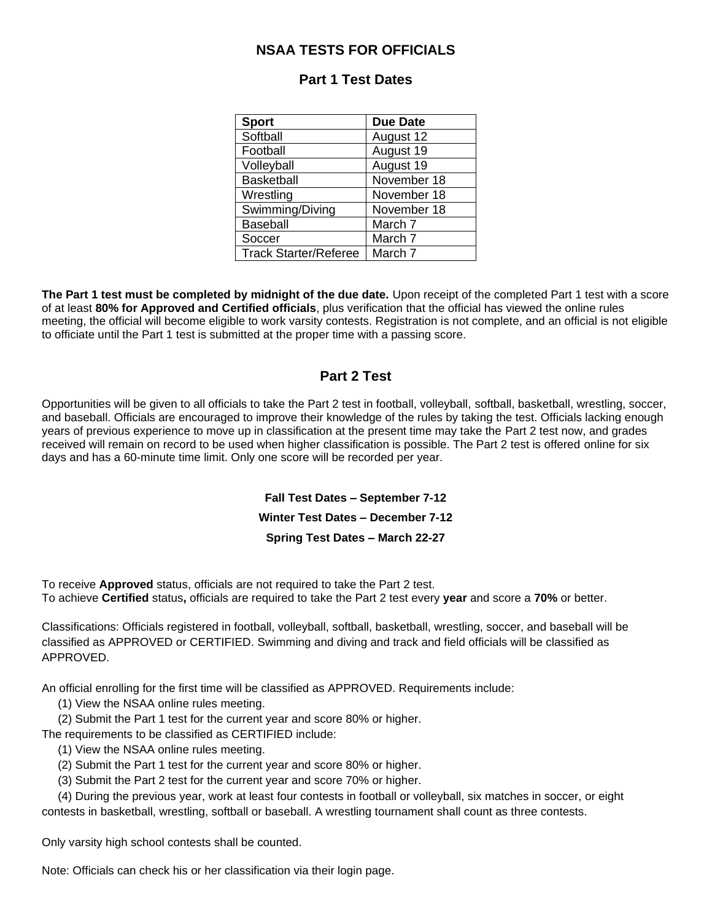### **NSAA TESTS FOR OFFICIALS**

| <b>Sport</b>                 | <b>Due Date</b> |  |
|------------------------------|-----------------|--|
| Softball                     | August 12       |  |
| Football                     | August 19       |  |
| Volleyball                   | August 19       |  |
| <b>Basketball</b>            | November 18     |  |
| Wrestling                    | November 18     |  |
| Swimming/Diving              | November 18     |  |
| Baseball                     | March 7         |  |
| Soccer                       | March 7         |  |
| <b>Track Starter/Referee</b> | March 7         |  |

### **Part 1 Test Dates**

**The Part 1 test must be completed by midnight of the due date.** Upon receipt of the completed Part 1 test with a score of at least **80% for Approved and Certified officials**, plus verification that the official has viewed the online rules meeting, the official will become eligible to work varsity contests. Registration is not complete, and an official is not eligible to officiate until the Part 1 test is submitted at the proper time with a passing score.

### **Part 2 Test**

Opportunities will be given to all officials to take the Part 2 test in football, volleyball, softball, basketball, wrestling, soccer, and baseball. Officials are encouraged to improve their knowledge of the rules by taking the test. Officials lacking enough years of previous experience to move up in classification at the present time may take the Part 2 test now, and grades received will remain on record to be used when higher classification is possible. The Part 2 test is offered online for six days and has a 60-minute time limit. Only one score will be recorded per year.

> **Fall Test Dates – September 7-12 Winter Test Dates – December 7-12 Spring Test Dates – March 22-27**

To receive **Approved** status, officials are not required to take the Part 2 test. To achieve **Certified** status**,** officials are required to take the Part 2 test every **year** and score a **70%** or better.

Classifications: Officials registered in football, volleyball, softball, basketball, wrestling, soccer, and baseball will be classified as APPROVED or CERTIFIED. Swimming and diving and track and field officials will be classified as APPROVED.

An official enrolling for the first time will be classified as APPROVED. Requirements include:

(1) View the NSAA online rules meeting.

(2) Submit the Part 1 test for the current year and score 80% or higher.

The requirements to be classified as CERTIFIED include:

- (1) View the NSAA online rules meeting.
- (2) Submit the Part 1 test for the current year and score 80% or higher.
- (3) Submit the Part 2 test for the current year and score 70% or higher.

 (4) During the previous year, work at least four contests in football or volleyball, six matches in soccer, or eight contests in basketball, wrestling, softball or baseball. A wrestling tournament shall count as three contests.

Only varsity high school contests shall be counted.

Note: Officials can check his or her classification via their login page.